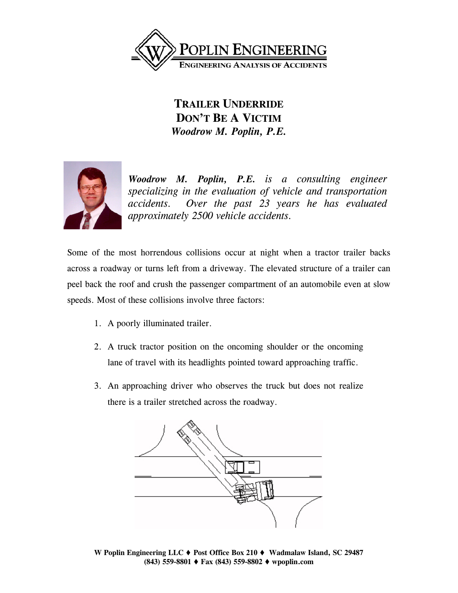

## **TRAILER UNDERRIDE DON'T BE A VICTIM** *Woodrow M. Poplin, P.E.*



*Woodrow M. Poplin, P.E. is a consulting engineer specializing in the evaluation of vehicle and transportation accidents. Over the past 23 years he has evaluated approximately 2500 vehicle accidents.* 

Some of the most horrendous collisions occur at night when a tractor trailer backs across a roadway or turns left from a driveway. The elevated structure of a trailer can peel back the roof and crush the passenger compartment of an automobile even at slow speeds. Most of these collisions involve three factors:

- 1. A poorly illuminated trailer.
- 2. A truck tractor position on the oncoming shoulder or the oncoming lane of travel with its headlights pointed toward approaching traffic.
- 3. An approaching driver who observes the truck but does not realize there is a trailer stretched across the roadway.



**W** Poplin Engineering LLC ♦ Post Office Box 210 ♦ Wadmalaw Island, SC 29487 **(843) 559-8801 Fax (843) 559-8802 wpoplin.com**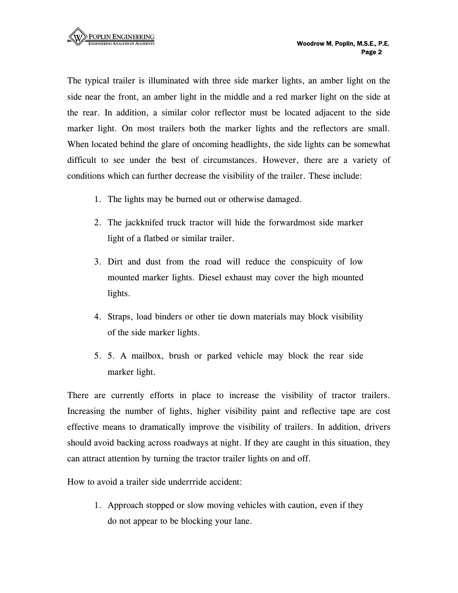The typical trailer is illuminated with three side marker lights, an amber light on the side near the front, an amber light in the middle and a red marker light on the side at the rear. In addition, a similar color reflector must be located adjacent to the side marker light. On most trailers both the marker lights and the reflectors are small. When located behind the glare of oncoming headlights, the side lights can be somewhat difficult to see under the best of circumstances. However, there are a variety of conditions which can further decrease the visibility of the trailer. These include:

- 1. The lights may be burned out or otherwise damaged.
- 2. The jackknifed truck tractor will hide the forwardmost side marker light of a flatbed or similar trailer.
- 3. Dirt and dust from the road will reduce the conspicuity of low mounted marker lights. Diesel exhaust may cover the high mounted lights.
- 4. Straps, load binders or other tie down materials may block visibility of the side marker lights.
- 5. 5. A mailbox, brush or parked vehicle may block the rear side marker light.

There are currently efforts in place to increase the visibility of tractor trailers. Increasing the number of lights, higher visibility paint and reflective tape are cost effective means to dramatically improve the visibility of trailers. In addition, drivers should avoid backing across roadways at night. If they are caught in this situation, they can attract attention by turning the tractor trailer lights on and off.

How to avoid a trailer side underrride accident:

1. Approach stopped or slow moving vehicles with caution, even if they do not appear to be blocking your lane.